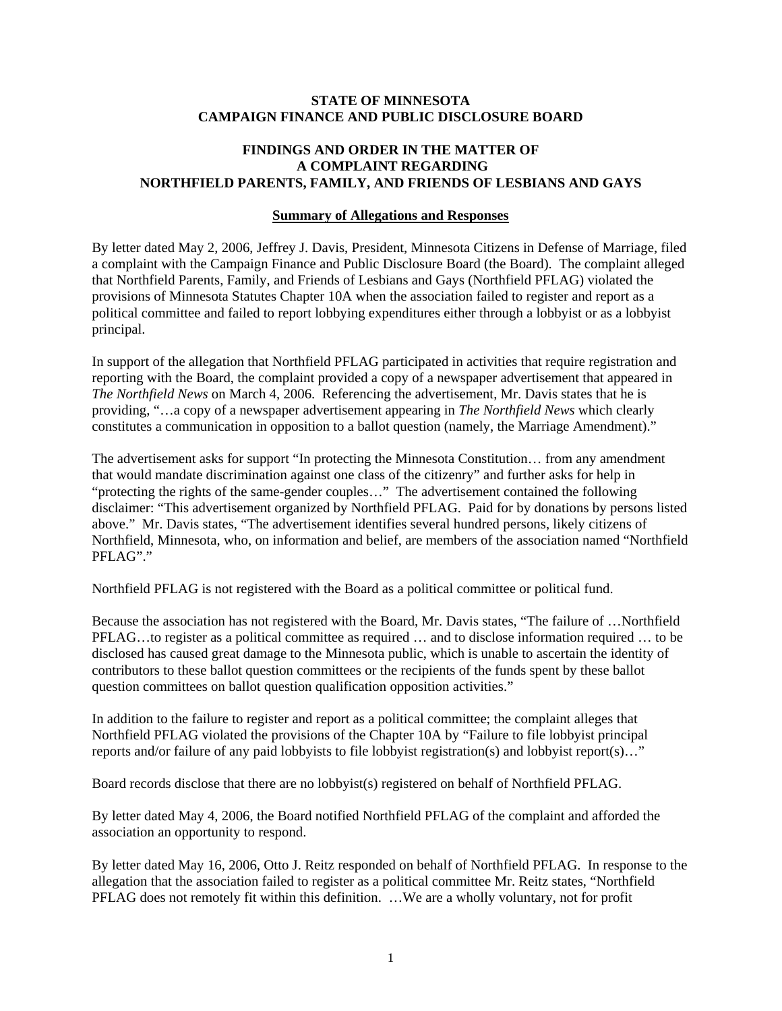### **STATE OF MINNESOTA CAMPAIGN FINANCE AND PUBLIC DISCLOSURE BOARD**

# **FINDINGS AND ORDER IN THE MATTER OF A COMPLAINT REGARDING NORTHFIELD PARENTS, FAMILY, AND FRIENDS OF LESBIANS AND GAYS**

### **Summary of Allegations and Responses**

By letter dated May 2, 2006, Jeffrey J. Davis, President, Minnesota Citizens in Defense of Marriage, filed a complaint with the Campaign Finance and Public Disclosure Board (the Board). The complaint alleged that Northfield Parents, Family, and Friends of Lesbians and Gays (Northfield PFLAG) violated the provisions of Minnesota Statutes Chapter 10A when the association failed to register and report as a political committee and failed to report lobbying expenditures either through a lobbyist or as a lobbyist principal.

In support of the allegation that Northfield PFLAG participated in activities that require registration and reporting with the Board, the complaint provided a copy of a newspaper advertisement that appeared in *The Northfield News* on March 4, 2006. Referencing the advertisement, Mr. Davis states that he is providing, "…a copy of a newspaper advertisement appearing in *The Northfield News* which clearly constitutes a communication in opposition to a ballot question (namely, the Marriage Amendment)."

The advertisement asks for support "In protecting the Minnesota Constitution… from any amendment that would mandate discrimination against one class of the citizenry" and further asks for help in "protecting the rights of the same-gender couples…" The advertisement contained the following disclaimer: "This advertisement organized by Northfield PFLAG. Paid for by donations by persons listed above." Mr. Davis states, "The advertisement identifies several hundred persons, likely citizens of Northfield, Minnesota, who, on information and belief, are members of the association named "Northfield PFLAG"."

Northfield PFLAG is not registered with the Board as a political committee or political fund.

Because the association has not registered with the Board, Mr. Davis states, "The failure of …Northfield PFLAG…to register as a political committee as required … and to disclose information required … to be disclosed has caused great damage to the Minnesota public, which is unable to ascertain the identity of contributors to these ballot question committees or the recipients of the funds spent by these ballot question committees on ballot question qualification opposition activities."

In addition to the failure to register and report as a political committee; the complaint alleges that Northfield PFLAG violated the provisions of the Chapter 10A by "Failure to file lobbyist principal reports and/or failure of any paid lobbyists to file lobbyist registration(s) and lobbyist report(s)…"

Board records disclose that there are no lobbyist(s) registered on behalf of Northfield PFLAG.

By letter dated May 4, 2006, the Board notified Northfield PFLAG of the complaint and afforded the association an opportunity to respond.

By letter dated May 16, 2006, Otto J. Reitz responded on behalf of Northfield PFLAG. In response to the allegation that the association failed to register as a political committee Mr. Reitz states, "Northfield PFLAG does not remotely fit within this definition. …We are a wholly voluntary, not for profit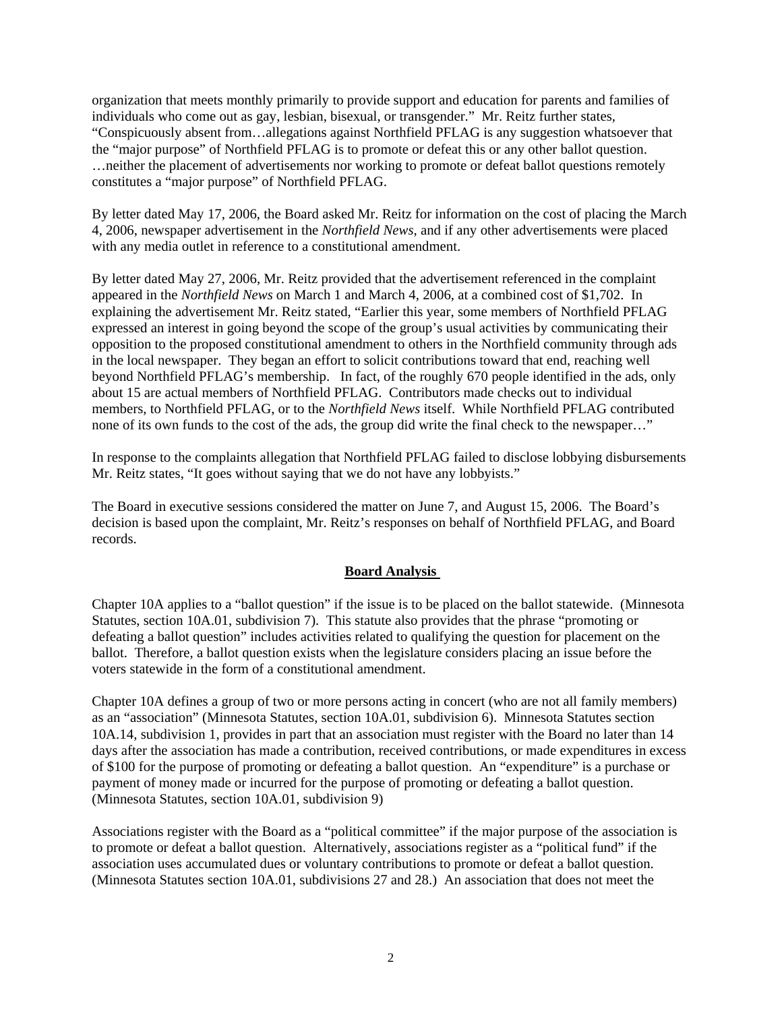organization that meets monthly primarily to provide support and education for parents and families of individuals who come out as gay, lesbian, bisexual, or transgender." Mr. Reitz further states, "Conspicuously absent from…allegations against Northfield PFLAG is any suggestion whatsoever that the "major purpose" of Northfield PFLAG is to promote or defeat this or any other ballot question. …neither the placement of advertisements nor working to promote or defeat ballot questions remotely constitutes a "major purpose" of Northfield PFLAG.

By letter dated May 17, 2006, the Board asked Mr. Reitz for information on the cost of placing the March 4, 2006, newspaper advertisement in the *Northfield News*, and if any other advertisements were placed with any media outlet in reference to a constitutional amendment.

By letter dated May 27, 2006, Mr. Reitz provided that the advertisement referenced in the complaint appeared in the *Northfield News* on March 1 and March 4, 2006, at a combined cost of \$1,702. In explaining the advertisement Mr. Reitz stated, "Earlier this year, some members of Northfield PFLAG expressed an interest in going beyond the scope of the group's usual activities by communicating their opposition to the proposed constitutional amendment to others in the Northfield community through ads in the local newspaper. They began an effort to solicit contributions toward that end, reaching well beyond Northfield PFLAG's membership. In fact, of the roughly 670 people identified in the ads, only about 15 are actual members of Northfield PFLAG. Contributors made checks out to individual members, to Northfield PFLAG, or to the *Northfield News* itself. While Northfield PFLAG contributed none of its own funds to the cost of the ads, the group did write the final check to the newspaper…"

In response to the complaints allegation that Northfield PFLAG failed to disclose lobbying disbursements Mr. Reitz states, "It goes without saying that we do not have any lobbyists."

The Board in executive sessions considered the matter on June 7, and August 15, 2006. The Board's decision is based upon the complaint, Mr. Reitz's responses on behalf of Northfield PFLAG, and Board records.

## **Board Analysis**

Chapter 10A applies to a "ballot question" if the issue is to be placed on the ballot statewide. (Minnesota Statutes, section 10A.01, subdivision 7). This statute also provides that the phrase "promoting or defeating a ballot question" includes activities related to qualifying the question for placement on the ballot. Therefore, a ballot question exists when the legislature considers placing an issue before the voters statewide in the form of a constitutional amendment.

Chapter 10A defines a group of two or more persons acting in concert (who are not all family members) as an "association" (Minnesota Statutes, section 10A.01, subdivision 6). Minnesota Statutes section 10A.14, subdivision 1, provides in part that an association must register with the Board no later than 14 days after the association has made a contribution, received contributions, or made expenditures in excess of \$100 for the purpose of promoting or defeating a ballot question. An "expenditure" is a purchase or payment of money made or incurred for the purpose of promoting or defeating a ballot question. (Minnesota Statutes, section 10A.01, subdivision 9)

Associations register with the Board as a "political committee" if the major purpose of the association is to promote or defeat a ballot question. Alternatively, associations register as a "political fund" if the association uses accumulated dues or voluntary contributions to promote or defeat a ballot question. (Minnesota Statutes section 10A.01, subdivisions 27 and 28.) An association that does not meet the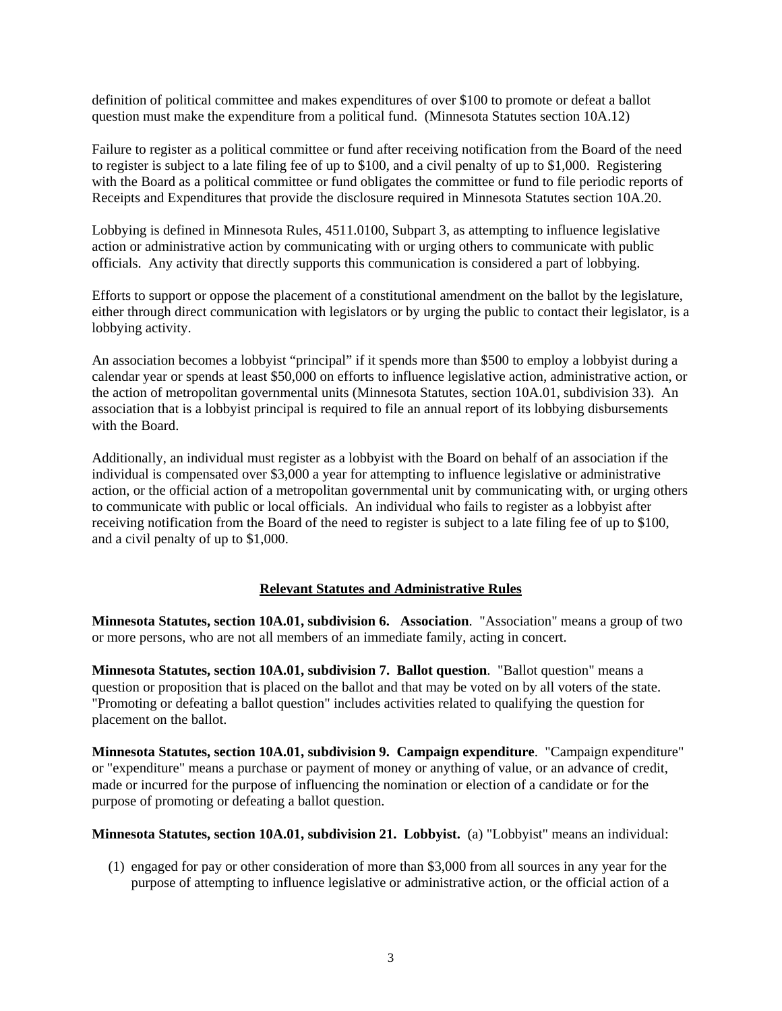definition of political committee and makes expenditures of over \$100 to promote or defeat a ballot question must make the expenditure from a political fund. (Minnesota Statutes section 10A.12)

Failure to register as a political committee or fund after receiving notification from the Board of the need to register is subject to a late filing fee of up to \$100, and a civil penalty of up to \$1,000. Registering with the Board as a political committee or fund obligates the committee or fund to file periodic reports of Receipts and Expenditures that provide the disclosure required in Minnesota Statutes section 10A.20.

Lobbying is defined in Minnesota Rules, 4511.0100, Subpart 3, as attempting to influence legislative action or administrative action by communicating with or urging others to communicate with public officials. Any activity that directly supports this communication is considered a part of lobbying.

Efforts to support or oppose the placement of a constitutional amendment on the ballot by the legislature, either through direct communication with legislators or by urging the public to contact their legislator, is a lobbying activity.

An association becomes a lobbyist "principal" if it spends more than \$500 to employ a lobbyist during a calendar year or spends at least \$50,000 on efforts to influence legislative action, administrative action, or the action of metropolitan governmental units (Minnesota Statutes, section 10A.01, subdivision 33). An association that is a lobbyist principal is required to file an annual report of its lobbying disbursements with the Board.

Additionally, an individual must register as a lobbyist with the Board on behalf of an association if the individual is compensated over \$3,000 a year for attempting to influence legislative or administrative action, or the official action of a metropolitan governmental unit by communicating with, or urging others to communicate with public or local officials. An individual who fails to register as a lobbyist after receiving notification from the Board of the need to register is subject to a late filing fee of up to \$100, and a civil penalty of up to \$1,000.

## **Relevant Statutes and Administrative Rules**

**Minnesota Statutes, section 10A.01, subdivision 6. Association**. "Association" means a group of two or more persons, who are not all members of an immediate family, acting in concert.

**Minnesota Statutes, section 10A.01, subdivision 7. Ballot question**. "Ballot question" means a question or proposition that is placed on the ballot and that may be voted on by all voters of the state. "Promoting or defeating a ballot question" includes activities related to qualifying the question for placement on the ballot.

**Minnesota Statutes, section 10A.01, subdivision 9. Campaign expenditure**. "Campaign expenditure" or "expenditure" means a purchase or payment of money or anything of value, or an advance of credit, made or incurred for the purpose of influencing the nomination or election of a candidate or for the purpose of promoting or defeating a ballot question.

## **Minnesota Statutes, section 10A.01, subdivision 21. Lobbyist.** (a) "Lobbyist" means an individual:

(1) engaged for pay or other consideration of more than \$3,000 from all sources in any year for the purpose of attempting to influence legislative or administrative action, or the official action of a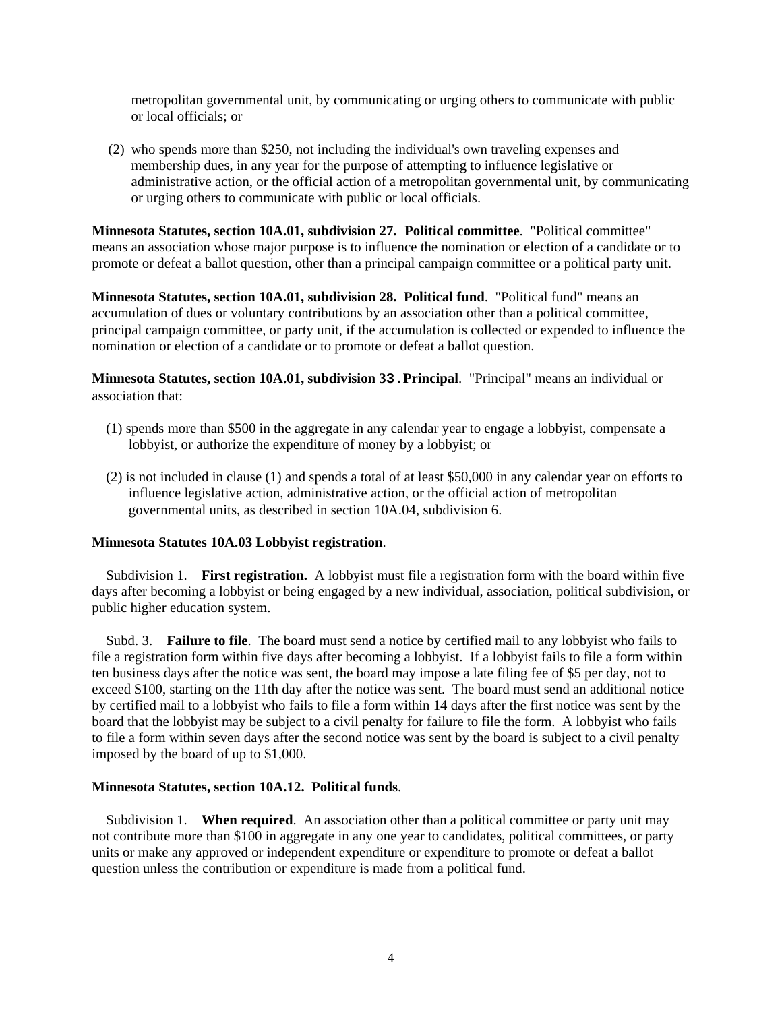metropolitan governmental unit, by communicating or urging others to communicate with public or local officials; or

(2) who spends more than \$250, not including the individual's own traveling expenses and membership dues, in any year for the purpose of attempting to influence legislative or administrative action, or the official action of a metropolitan governmental unit, by communicating or urging others to communicate with public or local officials.

**Minnesota Statutes, section 10A.01, subdivision 27. Political committee**. "Political committee" means an association whose major purpose is to influence the nomination or election of a candidate or to promote or defeat a ballot question, other than a principal campaign committee or a political party unit.

**Minnesota Statutes, section 10A.01, subdivision 28. Political fund**. "Political fund" means an accumulation of dues or voluntary contributions by an association other than a political committee, principal campaign committee, or party unit, if the accumulation is collected or expended to influence the nomination or election of a candidate or to promote or defeat a ballot question.

**Minnesota Statutes, section 10A.01, subdivision 33.Principal**. "Principal" means an individual or association that:

- (1) spends more than \$500 in the aggregate in any calendar year to engage a lobbyist, compensate a lobbyist, or authorize the expenditure of money by a lobbyist; or
- (2) is not included in clause (1) and spends a total of at least \$50,000 in any calendar year on efforts to influence legislative action, administrative action, or the official action of metropolitan governmental units, as described in section 10A.04, subdivision 6.

### **Minnesota Statutes 10A.03 Lobbyist registration**.

 Subdivision 1. **First registration.** A lobbyist must file a registration form with the board within five days after becoming a lobbyist or being engaged by a new individual, association, political subdivision, or public higher education system.

 Subd. 3. **Failure to file**. The board must send a notice by certified mail to any lobbyist who fails to file a registration form within five days after becoming a lobbyist. If a lobbyist fails to file a form within ten business days after the notice was sent, the board may impose a late filing fee of \$5 per day, not to exceed \$100, starting on the 11th day after the notice was sent. The board must send an additional notice by certified mail to a lobbyist who fails to file a form within 14 days after the first notice was sent by the board that the lobbyist may be subject to a civil penalty for failure to file the form. A lobbyist who fails to file a form within seven days after the second notice was sent by the board is subject to a civil penalty imposed by the board of up to \$1,000.

### **Minnesota Statutes, section 10A.12. Political funds**.

 Subdivision 1. **When required**. An association other than a political committee or party unit may not contribute more than \$100 in aggregate in any one year to candidates, political committees, or party units or make any approved or independent expenditure or expenditure to promote or defeat a ballot question unless the contribution or expenditure is made from a political fund.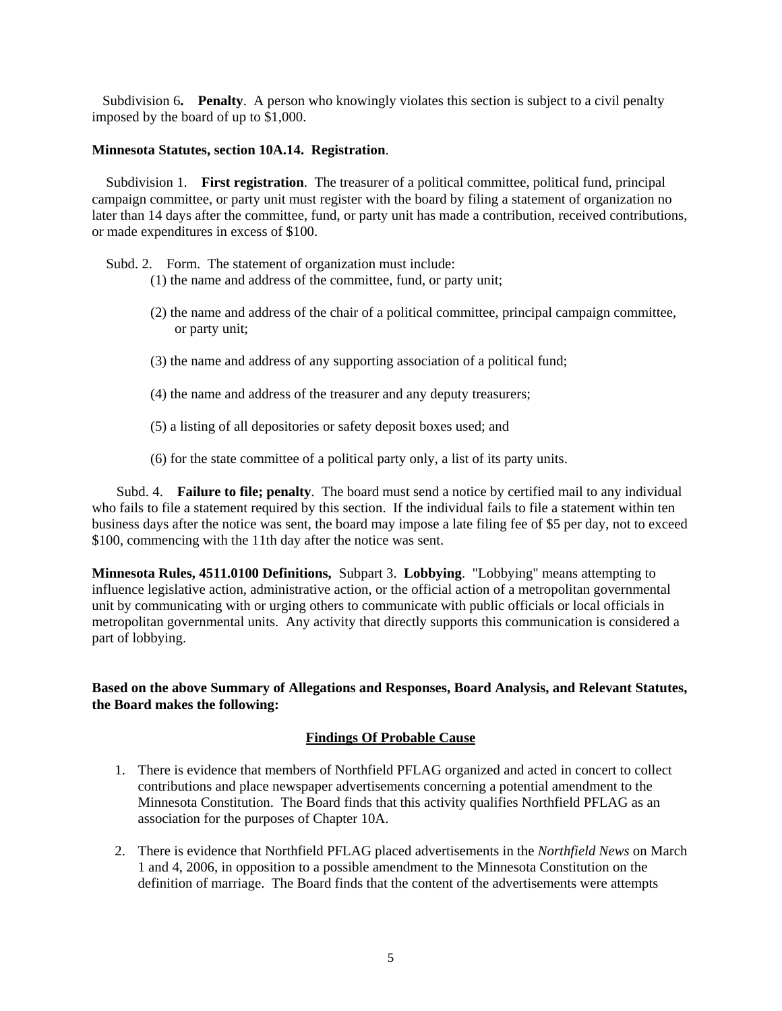Subdivision 6**. Penalty**. A person who knowingly violates this section is subject to a civil penalty imposed by the board of up to \$1,000.

#### **Minnesota Statutes, section 10A.14. Registration**.

 Subdivision 1. **First registration**. The treasurer of a political committee, political fund, principal campaign committee, or party unit must register with the board by filing a statement of organization no later than 14 days after the committee, fund, or party unit has made a contribution, received contributions, or made expenditures in excess of \$100.

Subd. 2. Form. The statement of organization must include:

- (1) the name and address of the committee, fund, or party unit;
- (2) the name and address of the chair of a political committee, principal campaign committee, or party unit;
- (3) the name and address of any supporting association of a political fund;
- (4) the name and address of the treasurer and any deputy treasurers;
- (5) a listing of all depositories or safety deposit boxes used; and
- (6) for the state committee of a political party only, a list of its party units.

 Subd. 4. **Failure to file; penalty**. The board must send a notice by certified mail to any individual who fails to file a statement required by this section. If the individual fails to file a statement within ten business days after the notice was sent, the board may impose a late filing fee of \$5 per day, not to exceed \$100, commencing with the 11th day after the notice was sent.

**Minnesota Rules, 4511.0100 Definitions,** Subpart 3. **Lobbying**. "Lobbying" means attempting to influence legislative action, administrative action, or the official action of a metropolitan governmental unit by communicating with or urging others to communicate with public officials or local officials in metropolitan governmental units. Any activity that directly supports this communication is considered a part of lobbying.

**Based on the above Summary of Allegations and Responses, Board Analysis, and Relevant Statutes, the Board makes the following:** 

### **Findings Of Probable Cause**

- 1. There is evidence that members of Northfield PFLAG organized and acted in concert to collect contributions and place newspaper advertisements concerning a potential amendment to the Minnesota Constitution. The Board finds that this activity qualifies Northfield PFLAG as an association for the purposes of Chapter 10A.
- 2. There is evidence that Northfield PFLAG placed advertisements in the *Northfield News* on March 1 and 4, 2006, in opposition to a possible amendment to the Minnesota Constitution on the definition of marriage. The Board finds that the content of the advertisements were attempts